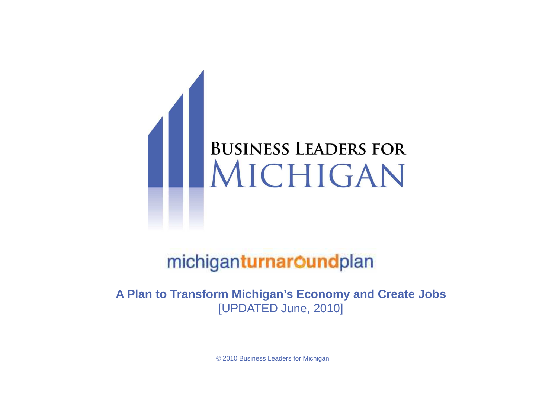

### michiganturnaroundplan

**A Plan to Transform Michigan's Economy and Create Jobs**[UPDATED June, 2010]

**Michigan Turnaround Plan**© 2010 Business Leaders for Michigan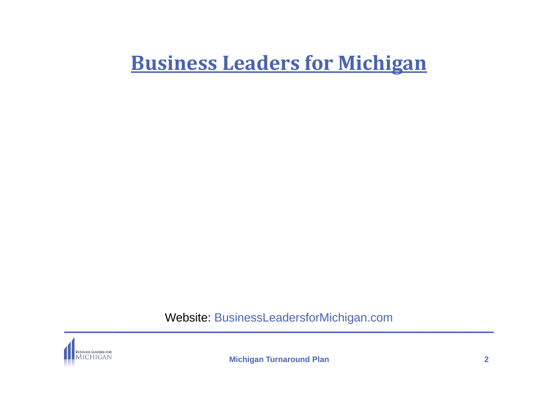## **Business Leaders for Michigan**

Website: BusinessLeadersforMichigan.com

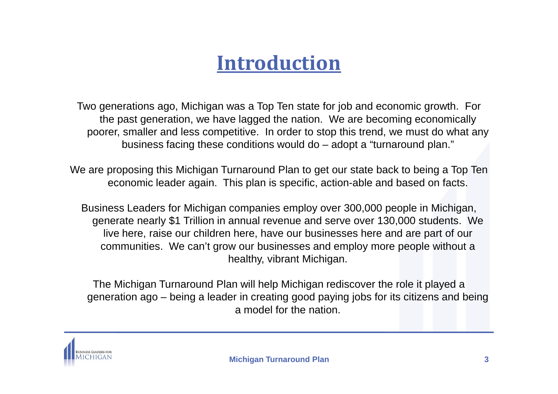# **Introduction**

Two generations ago, Michigan was a Top Ten state for job and economic growth. For the past generation, we have lagged the nation. We are becoming economically poorer, smaller and less competitive. In order to stop this trend, we must do what any business facing these conditions would do – adopt a "turnaround plan."

We are proposing this Michigan Turnaround Plan to get our state back to being a Top Ten economic leader again. This plan is specific, action-able and based on facts.

Business Leaders for Michigan companies employ over 300,000 people in Michigan, generate nearly \$1 Trillion in annual revenue and serve over 130,000 students. We live here, raise our children here, have our businesses here and are part of our communities. We can't grow our businesses and employ more people without a healthy, vibrant Michigan.

The Michigan Turnaround Plan will help Michigan rediscover the role it played a generation ago – being a leader in creating good paying jobs for its citizens and being a model for the nation.

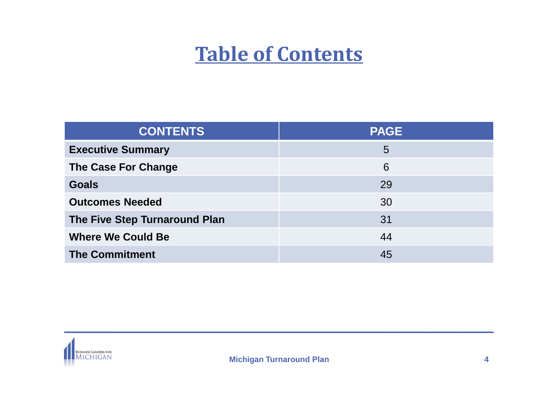# **Table of Contents**

| <b>CONTENTS</b>               | <b>PAGE</b> |
|-------------------------------|-------------|
| <b>Executive Summary</b>      | 5           |
| The Case For Change           | 6           |
| <b>Goals</b>                  | 29          |
| <b>Outcomes Needed</b>        | 30          |
| The Five Step Turnaround Plan | 31          |
| <b>Where We Could Be</b>      | 44          |
| <b>The Commitment</b>         | 45          |

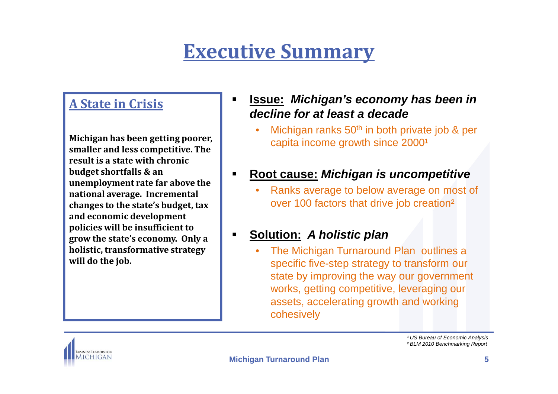# **Executive Summary**

### **A State in Crisis**

**Michigan has been getting poorer, smaller and less competitive. The result is a state with chronic budget shortfalls & an unemployment rate far above the national average. Incremental changes to the state's budget, tax and economic development policies will be insufficient to grow the state's economy. Only a holistic, transformative strategy will do the job.**

- $\blacksquare$  **Issue: Michigan's economy has been in decline for at least a decade**
	- Michigan ranks 50<sup>th</sup> in both private job & per •capita income growth since 2000<sup>1</sup>
- **Root cause: Michigan is uncompetitive**
	- Ranks average to below average on most of •over 100 factors that drive job creation²
- $\blacksquare$  **Solution: A holistic plan**
	- The Michigan Turnaround Plan outlines a •specific five-step strategy to transform our state by improving the way our government works, getting competitive, leveraging our assets, accelerating growth and working cohesively



<sup>1</sup> US Bureau of Economic Analysis ² BLM 2010 Benchmarking Report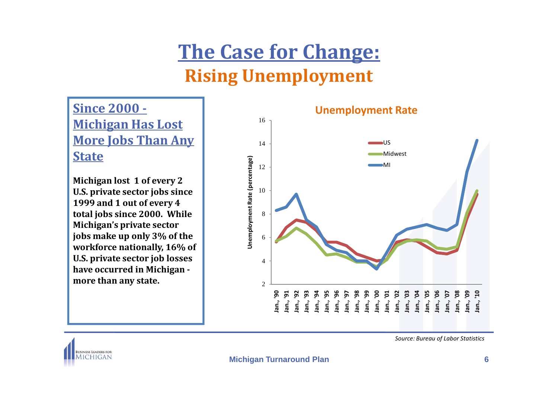# **The Case for Change:Rising Unemployment**

**Since 2000 -Michigan Has Lost More Jobs Than Any State**

**Michigan lost 1 of every 2 U.S. private sector jobs since 1999 and 1 out of every 4 total jobs since 2000. While Michigan's private sector jobs make up only 3% of the workforce nationally, 16% of U.S. private sector job losses have occurred in Michigan more than any state.**



*Source: Bureau of Labor Statistics*

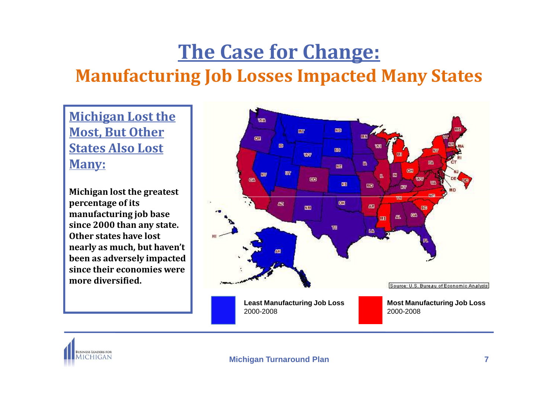# **The Case for Change:Manufacturing Job Losses Impacted Many States**

**Michigan Lost the Most, But Other States Also Lost Many:**

**Michigan lost the greatest percentage of its manufacturing job base since 2000 than any state. Other states have lost nearly as much, but haven't been as adversely impacted since their economies were more diversified.**



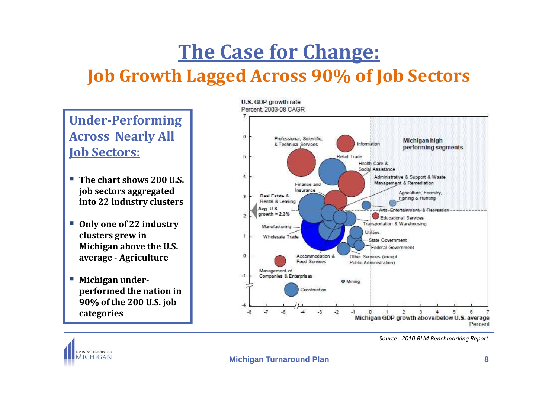# **The Case for Change: Job Growth Lagged Across 90% of Job Sectors**

**Under-Performing Across Nearly All Job Sectors:**

- **The chart shows 200 U.S. job sectors aggregated into 22 industry clusters**
- **Only one of 22 industry clusters grew in Michigan above the U.S. average - Agriculture**
- **Michigan underperformed the nation in 90% of the 200 U.S. job categories**



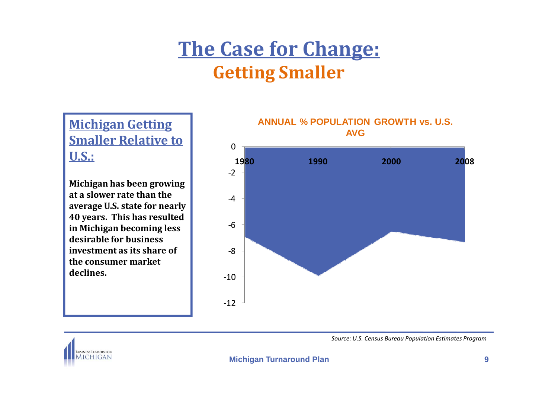# **The Case for Change:Getting Smaller**

**ANNUAL % POPULATION**<br> **AVG** Smaller Relative to and the smaller Relative to and the smaller Relative to and the smaller Relative to and the smallest smaller smaller smaller smaller smaller smaller smaller smaller smaller **U.S.:**

**Michigan has been growing at a slower rate than the average U.S. state for nearly 40 years. This has resulted in Michigan becoming less desirable for business investment as its share of the consumer market declines.** 





**BUSINESS LEADERS FOR MICHIGAN** 

*Source: U.S. Census Bureau Population Estimates Program*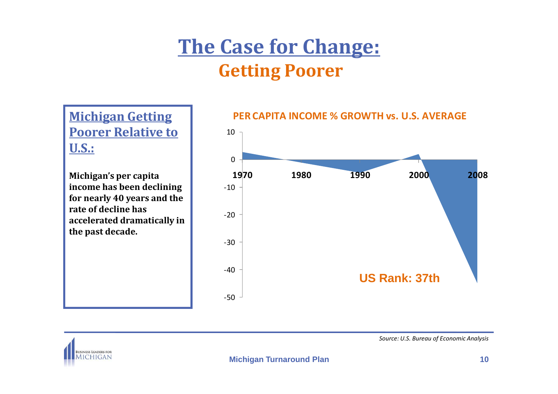# **The Case for Change:Getting Poorer**

**Poorer Relative to U.S.:**

**Michigan's per capita income has been declining for nearly 40 years and the rate of decline has accelerated dramatically in the past decade.**



### **Michigan Getting PER CAPITA INCOME % GROWTH vs. U.S. AVERAGE**



*Source: U.S. Bureau of Economic Analysis*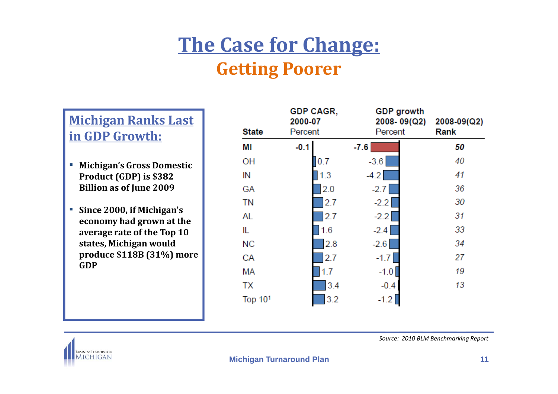# **The Case for Change:Getting Poorer**

### **Michigan Ranks Last in GDP Growth:**

- **Michigan's Gross Domestic Product (GDP) is \$382 Billion as of June 2009**
- **Since 2000, if Michigan's economy had grown at the average rate of the Top 10 states, Michigan would produce \$118B (31%) more GDP**

| <b>State</b> | <b>GDP CAGR,</b><br>2000-07<br>Percent | <b>GDP</b> growth<br>2008-09(Q2)<br>Percent | 2008-09(Q2)<br>Rank |
|--------------|----------------------------------------|---------------------------------------------|---------------------|
| ΜI           | $-0.1$                                 | $-7.6$                                      | 50                  |
| ΟH           | 0.7                                    | $-3.6$                                      | 40                  |
| IN           | 1.3                                    | $-4.2$                                      | 41                  |
| GА           | 2.0                                    | $-2.7$                                      | 36                  |
| <b>TN</b>    | 2.7                                    | $-2.2$                                      | 30                  |
| AL           | 2.7                                    | $-2.2$                                      | 31                  |
| IL.          | 1.6                                    | $-2.4$                                      | 33                  |
| NС           | 2.8                                    | $-2.6$                                      | 34                  |
| CA           | 2.7                                    | $-1.7$                                      | 27                  |
| МA           | 1.7                                    | $-1.0$                                      | 19                  |
| <b>TX</b>    | 3.4                                    | $-0.4$                                      | 13                  |
| Top 101      | 3.2                                    | $-1.2$                                      |                     |



*Source: 2010 BLM Benchmarking Report*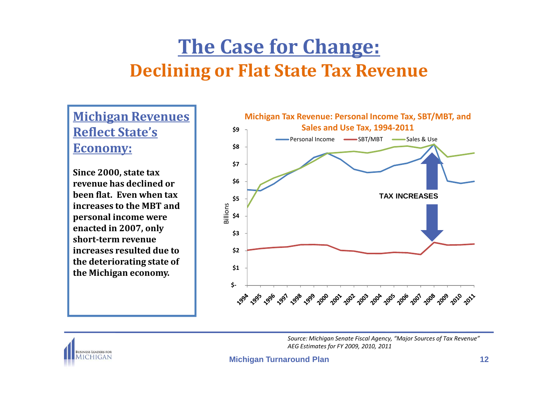# **The Case for Change:Declining or Flat State Tax Revenue**

**Michigan Revenues Reflect State's Economy:**

**Since 2000, state tax revenue has declined or been flat. Even when tax increases to the MBT and personal income were enacted in 2007, only short-term revenue increases resulted due to the deteriorating state of the Michigan economy.**



**BUSINESS LEADERS FOR MICHIGAN** 

*Source: Michigan Senate Fiscal Agency, "Major Sources of Tax Revenue"AEG Estimates for FY 2009, 2010, 2011*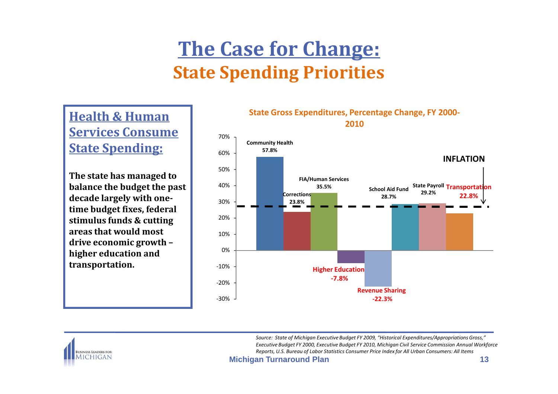# **The Case for Change:State Spending Priorities**

**Health & Human Services Consume State Spending:**

**The state has managed to balance the budget the past decade largely with onetime budget fixes, federal stimulus funds & cutting areas that would most drive economic growth –higher education and transportation.**

#### **State Gross Expenditures, Percentage Change, FY 2000-2010**





*Source: State of Michigan Executive Budget FY 2009, "Historical Expenditures/Appropriations Gross," Executive Budget FY 2000, Executive Budget FY 2010, Michigan Civil Service Commission Annual WorkforceReports, U.S. Bureau of Labor Statistics Consumer Price Index for All Urban Consumers: All Items*

**Michigan Turnaround Plan**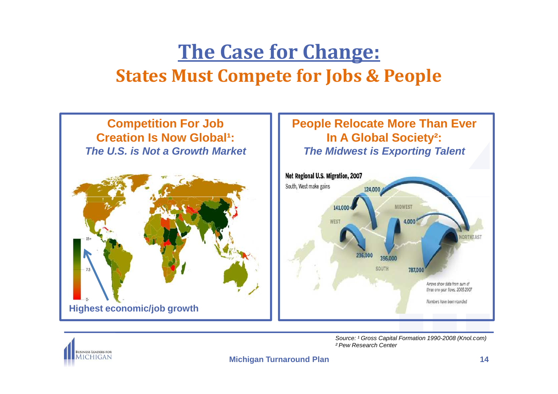# **The Case for Change:States Must Compete for Jobs & People**





Source: <sup>1</sup> Gross Capital Formation 1990-2008 (Knol.com) ² Pew Research Center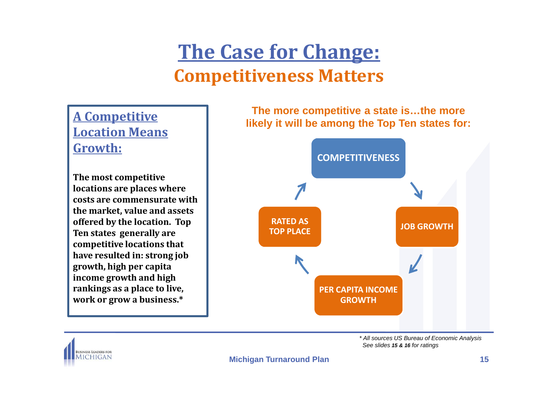# **The Case for Change:Competitiveness Matters**

# **Growth:**

**The most competitive locations are places where costs are commensurate with the market, value and assets offered by the location. Top Ten states generally are competitive locations that have resulted in: strong job growth, high per capita income growth and high rankings as a place to live, work or grow a business.\***

**The more competitive a state is…the more likely it will be among the Top Ten states for:A Competitive A Competitive Location Means**<br>Location Means



\* All sources US Bureau of Economic AnalysisSee slides **15 & 16** for ratings

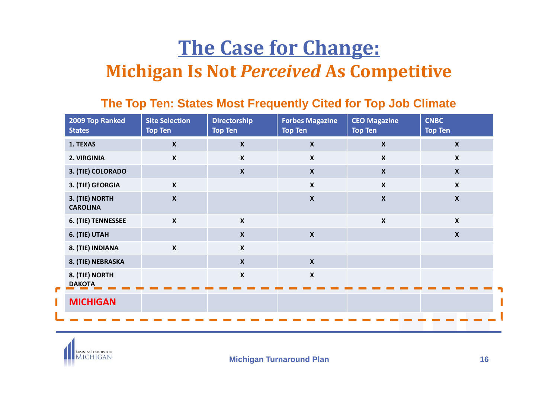# **The Case for Change:Michigan Is Not** *Perceived* **As Competitive**

### **The Top Ten: States Most Frequently Cited for Top Job Climate**

| 2009 Top Ranked<br><b>States</b>  | <b>Site Selection</b><br><b>Top Ten</b> | <b>Directorship</b><br><b>Top Ten</b> | <b>Forbes Magazine</b><br><b>Top Ten</b> | <b>CEO Magazine</b><br><b>Top Ten</b> | <b>CNBC</b><br><b>Top Ten</b> |
|-----------------------------------|-----------------------------------------|---------------------------------------|------------------------------------------|---------------------------------------|-------------------------------|
| 1. TEXAS                          | $\boldsymbol{X}$                        | $\boldsymbol{\mathsf{X}}$             | $\boldsymbol{X}$                         | $\boldsymbol{\mathsf{x}}$             | $\boldsymbol{X}$              |
| 2. VIRGINIA                       | $\mathsf{X}$                            | $\boldsymbol{X}$                      | $\boldsymbol{X}$                         | $\boldsymbol{X}$                      | $\mathsf{X}$                  |
| 3. (TIE) COLORADO                 |                                         | $\boldsymbol{X}$                      | $\boldsymbol{X}$                         | $\boldsymbol{X}$                      | $\boldsymbol{X}$              |
| 3. (TIE) GEORGIA                  | $\boldsymbol{\mathsf{X}}$               |                                       | $\boldsymbol{\mathsf{X}}$                | $\boldsymbol{\mathsf{X}}$             | $\mathsf{X}$                  |
| 3. (TIE) NORTH<br><b>CAROLINA</b> | $\boldsymbol{x}$                        |                                       | $\boldsymbol{X}$                         | $\boldsymbol{\mathsf{X}}$             | $\boldsymbol{X}$              |
| 6. (TIE) TENNESSEE                | $\mathsf{x}$                            | $\boldsymbol{\mathsf{X}}$             |                                          | $\boldsymbol{\mathsf{X}}$             | $\boldsymbol{X}$              |
| 6. (TIE) UTAH                     |                                         | $\boldsymbol{x}$                      | $\boldsymbol{\mathsf{X}}$                |                                       | $\mathbf x$                   |
| 8. (TIE) INDIANA                  | $\boldsymbol{\mathsf{X}}$               | $\boldsymbol{\mathsf{X}}$             |                                          |                                       |                               |
| 8. (TIE) NEBRASKA                 |                                         | $\boldsymbol{X}$                      | $\boldsymbol{X}$                         |                                       |                               |
| 8. (TIE) NORTH<br><b>DAKOTA</b>   |                                         | $\boldsymbol{x}$                      | $\boldsymbol{\mathsf{X}}$                |                                       |                               |
| <b>MICHIGAN</b>                   |                                         |                                       |                                          |                                       |                               |
|                                   |                                         |                                       |                                          |                                       |                               |

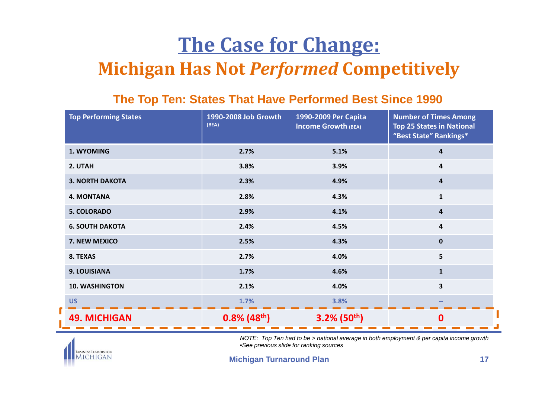# **The Case for Change:Michigan Has Not** *Performed* **Competitively**

### **The Top Ten: States That Have Performed Best Since 1990**

| <b>Top Performing States</b> | 1990-2008 Job Growth<br>(BEA) | <b>Number of Times Among</b><br>1990-2009 Per Capita<br><b>Income Growth (BEA)</b><br><b>Top 25 States in National</b><br>"Best State" Rankings* |                         |
|------------------------------|-------------------------------|--------------------------------------------------------------------------------------------------------------------------------------------------|-------------------------|
| 1. WYOMING                   | 2.7%                          | 5.1%                                                                                                                                             | 4                       |
| 2. UTAH                      | 3.8%                          | 3.9%                                                                                                                                             | 4                       |
| <b>3. NORTH DAKOTA</b>       | 2.3%                          | 4.9%                                                                                                                                             | 4                       |
| <b>4. MONTANA</b>            | 2.8%                          | 4.3%                                                                                                                                             | $\mathbf{1}$            |
| <b>5. COLORADO</b>           | 2.9%                          | 4.1%                                                                                                                                             | $\overline{\mathbf{a}}$ |
| <b>6. SOUTH DAKOTA</b>       | 2.4%                          | 4.5%                                                                                                                                             | 4                       |
| 7. NEW MEXICO                | 2.5%                          | 4.3%                                                                                                                                             | $\mathbf{0}$            |
| 8. TEXAS                     | 2.7%                          | 4.0%                                                                                                                                             | 5                       |
| 9. LOUISIANA                 | 1.7%                          | 4.6%                                                                                                                                             | $\mathbf{1}$            |
| <b>10. WASHINGTON</b>        | 2.1%                          | 4.0%                                                                                                                                             | 3                       |
| <b>US</b>                    | 1.7%                          | 3.8%                                                                                                                                             |                         |
| <b>49. MICHIGAN</b>          | $0.8\%$ (48 <sup>th</sup> )   | $3.2\%$ (50 <sup>th</sup> )                                                                                                                      | $\mathbf 0$             |



NOTE: Top Ten had to be > national average in both employment & per capita income growth•See previous slide for ranking sources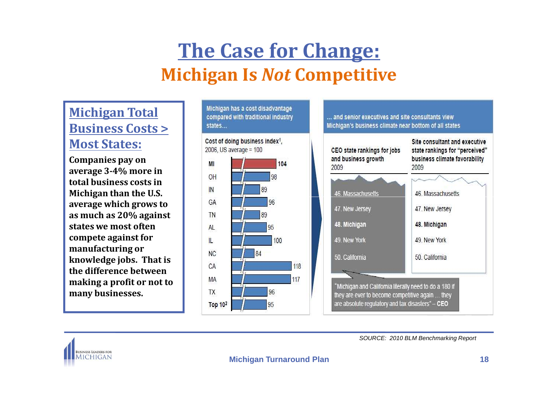### **Michigan Total Business Costs > Most States:**

**Companies pay on average 3-4% more in total business costs in Michigan than the U.S. average which grows to as much as 20% against states we most often compete against for manufacturing or knowledge jobs. That is the difference between making a profit or not to many businesses.**







SOURCE: 2010 BLM Benchmarking Report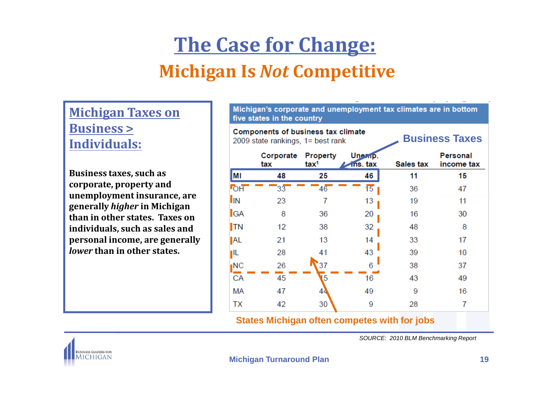### **Michigan Taxes on Business > Individuals:**

**Business taxes, such as corporate, property and unemployment insurance, are generally** *higher* **in Michigan than in other states. Taxes on individuals, such as sales and personal income, are generally** *lower* **than in other states.** 

| Michigan's corporate and unemployment tax climates are in bottom<br>five states in the country          |                  |                                                            |    |                  |                               |
|---------------------------------------------------------------------------------------------------------|------------------|------------------------------------------------------------|----|------------------|-------------------------------|
| <b>Components of business tax climate</b><br><b>Business Taxes</b><br>2009 state rankings, 1= best rank |                  |                                                            |    |                  |                               |
|                                                                                                         | Corporate<br>tax | <b>Property</b><br>Une ap.<br>tax <sup>1</sup><br>ins. tax |    | <b>Sales tax</b> | <b>Personal</b><br>income tax |
| <b>MI</b>                                                                                               | 48               | 25                                                         | 46 | 11               | 15                            |
| <b>FOH</b>                                                                                              | 33               | 46                                                         | 15 | 36               | 47                            |
| <b>I</b> IN                                                                                             | 23               | 7                                                          | 13 | 19               | 11                            |
| <b>GA</b>                                                                                               | 8                | 36                                                         | 20 | 16               | 30                            |
| $\mathsf{T}N$                                                                                           | 12               | 38                                                         | 32 | 48               | 8                             |
| <b>AL</b>                                                                                               | 21               | 13                                                         | 14 | 33               | 17                            |
| ŢΙL                                                                                                     | 28               | 41                                                         | 43 | 39               | 10                            |
| ∎NC                                                                                                     | 26               | 37                                                         | 6  | 38               | 37                            |
| CA                                                                                                      | 45               | 5                                                          | 16 | 43               | 49                            |
| МA                                                                                                      | 47               | 44                                                         | 49 | 9                | 16                            |
| TX                                                                                                      | 42               | 30                                                         | 9  | 28               | 7                             |

#### **States Michigan often competes with for jobs**

SOURCE: 2010 BLM Benchmarking Report

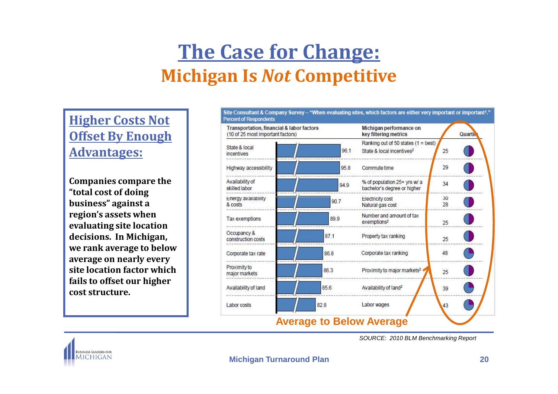**Higher Costs Not Offset By Enough Advantages:**

**Companies compare the "total cost of doing business" against a region's assets when evaluating site location decisions. In Michigan, we rank average to below average on nearly every site location factor which fails to offset our higher cost structure.**





SOURCE: 2010 BLM Benchmarking Report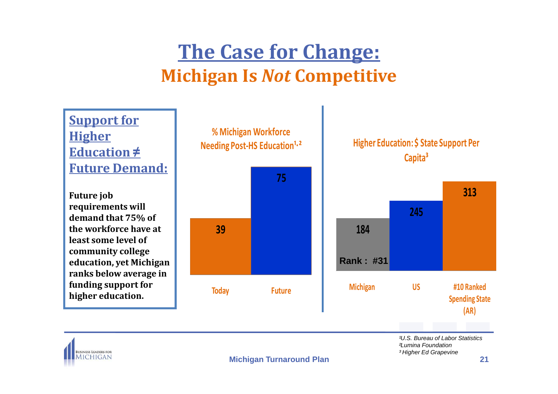

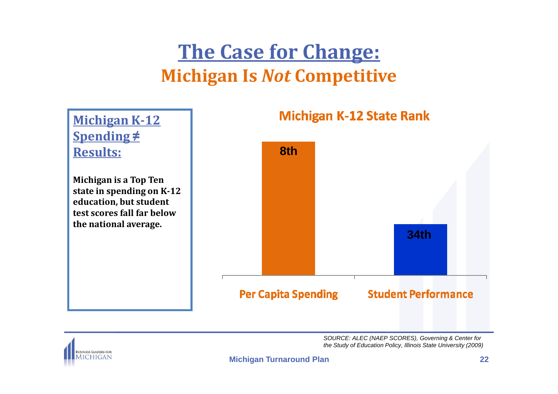

SOURCE: ALEC (NAEP SCORES), Governing & Center for the Study of Education Policy, Illinois State University (2009)

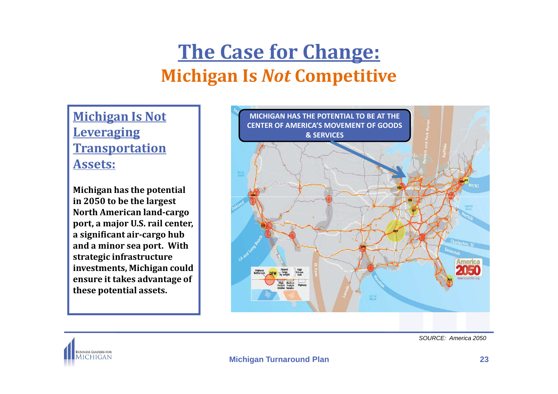**Michigan Is Not Leveraging Transportation Assets:**

**Michigan has the potential in 2050 to be the largest North American land-cargo port, a major U.S. rail center, a significant air-cargo hub and a minor sea port. With strategic infrastructure investments, Michigan could ensure it takes advantage of these potential assets.**



SOURCE: America 2050

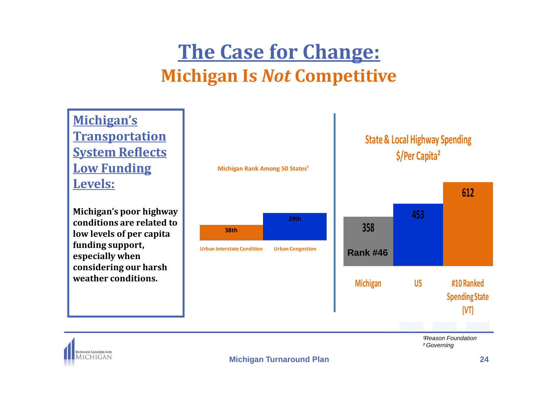**Michigan Rank Among 50 States<sup>1</sup> Michigan's Transportation System Reflects Low Funding Levels:612State & Local Highway Spending \$/Per Capita²38th29thUrban Interstate Condition Urban Congestion Reason Foundation** ² Governing**Michigan's poor highway conditions are related to low levels of per capita funding support, especially when considering our harsh weather conditions.358453Michigan US #10 Ranked Spending State (VT)Rank #46**

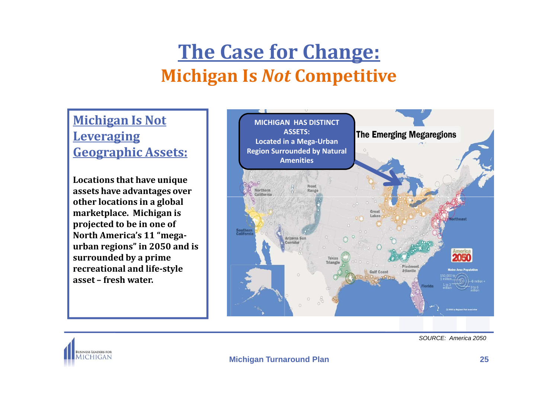### **Michigan Is Not Leveraging Geographic Assets:**

**Locations that have unique assets have advantages over other locations in a global marketplace. Michigan is projected to be in one of North America's 11 "megaurban regions" in 2050 and is surrounded by a prime recreational and life-style asset – fresh water.** 





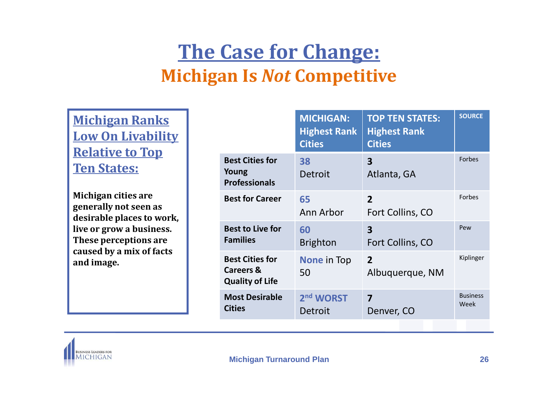**Michigan Ranks Low On Livability Relative to Top Ten States:**

**Michigan cities are generally not seen as desirable places to work, live or grow a business. These perceptions are caused by a mix of facts and image.**

|                                                                          | <b>MICHIGAN:</b><br><b>Highest Rank</b><br><b>Cities</b> | <b>TOP TEN STATES:</b><br><b>Highest Rank</b><br><b>Cities</b> | <b>SOURCE</b>           |
|--------------------------------------------------------------------------|----------------------------------------------------------|----------------------------------------------------------------|-------------------------|
| <b>Best Cities for</b><br>Young<br><b>Professionals</b>                  | 38<br><b>Detroit</b>                                     | $\overline{\mathbf{3}}$<br>Atlanta, GA                         | Forbes                  |
| <b>Best for Career</b>                                                   | 65<br>Ann Arbor                                          | $\overline{2}$<br>Fort Collins, CO                             | Forbes                  |
| <b>Best to Live for</b><br><b>Families</b>                               | 60<br><b>Brighton</b>                                    | $\overline{\mathbf{3}}$<br>Fort Collins, CO                    | Pew                     |
| <b>Best Cities for</b><br><b>Careers &amp;</b><br><b>Quality of Life</b> | <b>None in Top</b><br>50                                 | $\overline{2}$<br>Albuquerque, NM                              | Kiplinger               |
| <b>Most Desirable</b><br><b>Cities</b>                                   | 2 <sup>nd</sup> WORST<br>Detroit                         | $\overline{\mathbf{z}}$<br>Denver, CO                          | <b>Business</b><br>Week |
|                                                                          |                                                          |                                                                |                         |

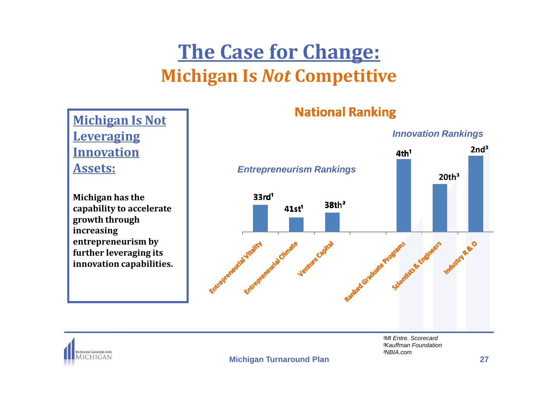### **Michigan Is Not Leveraging Innovation Assets:**

**Michigan has the capability to accelerate growth through increasing entrepreneurism by further leveraging its innovation capabilities.**

### **National Ranking**



1MI Entre. Scorecard ²Kauffman Foundation³NBIA.com



**Michigan Turnaround Plan**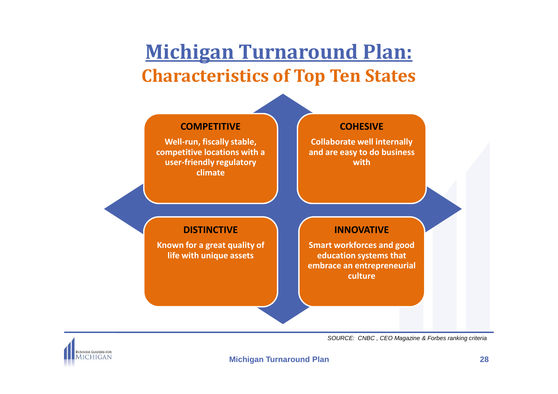# **Michigan Turnaround Plan:Characteristics of Top Ten States**



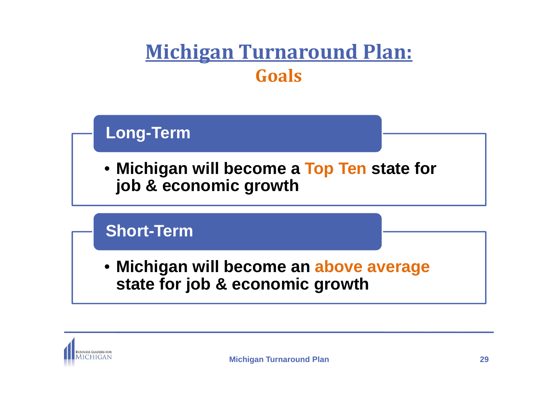# **Michigan Turnaround Plan:Goals**

### **Long-Term**

• **Michigan will become a Top Ten state for job & economic growth**

### **Short-Term**

• **Michigan will become an above average state for job & economic growth**

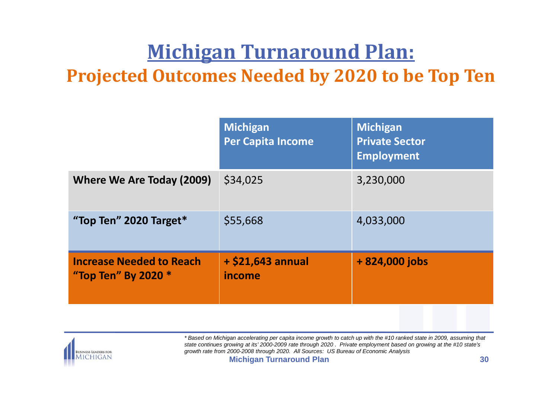# **Michigan Turnaround Plan:**

### **Projected Outcomes Needed by 2020 to be Top Ten**

|                                                        | <b>Michigan</b><br><b>Per Capita Income</b> | <b>Michigan</b><br><b>Private Sector</b><br><b>Employment</b> |
|--------------------------------------------------------|---------------------------------------------|---------------------------------------------------------------|
| Where We Are Today (2009)                              | \$34,025                                    | 3,230,000                                                     |
| "Top Ten" 2020 Target*                                 | \$55,668                                    | 4,033,000                                                     |
| <b>Increase Needed to Reach</b><br>"Top Ten" By 2020 * | $+$ \$21,643 annual<br>income               | $+824,000$ jobs                                               |
|                                                        |                                             |                                                               |



**Michigan Turnaround Plan <sup>30</sup>** \* Based on Michigan accelerating per capita income growth to catch up with the #10 ranked state in 2009, assuming that state continues growing at its' 2000-2009 rate through 2020 . Private employment based on growing at the #10 state's growth rate from 2000-2008 through 2020. All Sources: US Bureau of Economic Analysis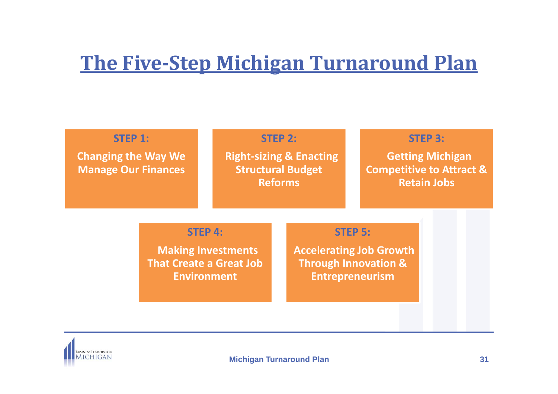# **The Five-Step Michigan Turnaround Plan**

| <b>STEP 1:</b><br><b>Changing the Way We</b><br><b>Manage Our Finances</b> |                                                                                                     |  | <b>STEP 2:</b><br><b>Right-sizing &amp; Enacting</b><br><b>Structural Budget</b><br><b>Reforms</b> |                | <b>STEP 3:</b><br><b>Getting Michigan</b><br><b>Competitive to Attract &amp;</b><br><b>Retain Jobs</b> |  |
|----------------------------------------------------------------------------|-----------------------------------------------------------------------------------------------------|--|----------------------------------------------------------------------------------------------------|----------------|--------------------------------------------------------------------------------------------------------|--|
|                                                                            | <b>STEP 4:</b><br><b>Making Investments</b><br><b>That Create a Great Job</b><br><b>Environment</b> |  | <b>Through Innovation &amp;</b><br><b>Entrepreneurism</b>                                          | <b>STEP 5:</b> | <b>Accelerating Job Growth</b>                                                                         |  |

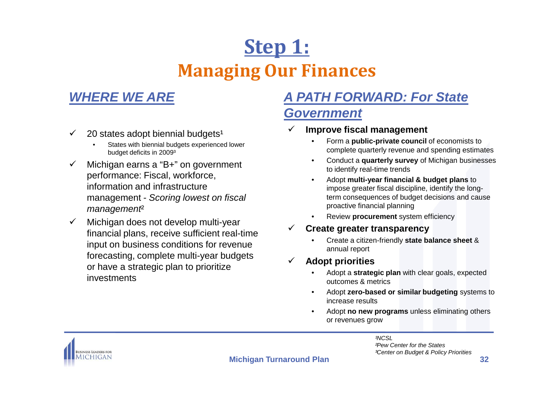# **Step 1: Managing Our Finances**

### **WHERE WE ARE**

- $\checkmark$  $20$  states adopt biennial budgets<sup>1</sup>
	- • States with biennial budgets experienced lower budget deficits in 2009³
- $\checkmark$  Michigan earns a "B+" on government performance: Fiscal, workforce, information and infrastructure management - Scoring lowest on fiscal management<sup>2</sup>
- $\checkmark$  Michigan does not develop multi-year financial plans, receive sufficient real-time input on business conditions for revenue forecasting, complete multi-year budgets or have a strategic plan to prioritize investments

### **A PATH FORWARD: For State Government**

- $\checkmark$  **Improve fiscal management**
	- • Form a **public-private council** of economists to complete quarterly revenue and spending estimates
	- Conduct a **quarterly survey** of Michigan businesses •to identify real-time trends
	- Adopt **multi-year financial & budget plans** to •impose greater fiscal discipline, identify the longterm consequences of budget decisions and cause proactive financial planning
	- Review **procurement** system efficiency•
- $\checkmark$  **Create greater transparency**
	- • Create a citizen-friendly **state balance sheet** & annual report
- $\checkmark$  **Adopt priorities**
	- • Adopt a **strategic plan** with clear goals, expected outcomes & metrics
	- • Adopt **zero-based or similar budgeting** systems to increase results
	- • Adopt **no new programs** unless eliminating others or revenues grow

²Pew Center for the States

³Center on Budget & Policy Priorities

**NCSL** 



**Michigan Turnaround Plan**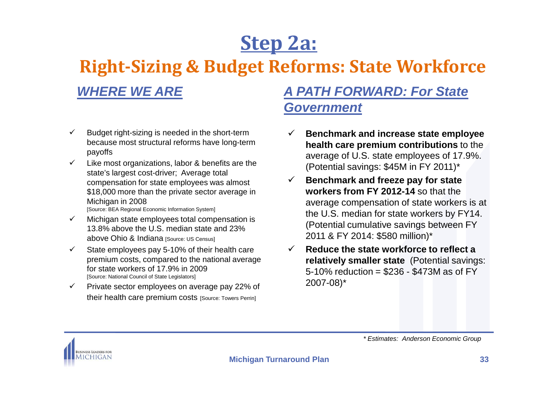# **Step 2a:**

### **Right-Sizing & Budget Reforms: State Workforce**

### **WHERE WE ARE**

### **A PATH FORWARD: For State Government**

- $\checkmark$  Budget right-sizing is needed in the short-term because most structural reforms have long-term payoffs
- $\checkmark$  Like most organizations, labor & benefits are the state's largest cost-driver; Average total compensation for state employees was almost \$18,000 more than the private sector average in Michigan in 2008 [Source: BEA Regional Economic Information System]
- $\checkmark$  Michigan state employees total compensation is 13.8% above the U.S. median state and 23% above Ohio & Indiana [Source: US Census]
- $\checkmark$  State employees pay 5-10% of their health care premium costs, compared to the national average for state workers of 17.9% in 2009 [Source: National Council of State Legislators]
- $\checkmark$  Private sector employees on average pay 22% of their health care premium costs [Source: Towers Perrin]
- $\checkmark$  **Benchmark and increase state employee health care premium contributions** to the average of U.S. state employees of 17.9%. (Potential savings: \$45M in FY 2011)\*
- $\checkmark$  **Benchmark and freeze pay for state workers from FY 2012-14** so that the average compensation of state workers is at the U.S. median for state workers by FY14.(Potential cumulative savings between FY 2011 & FY 2014: \$580 million)\*
- $\checkmark$  **Reduce the state workforce to reflect a relatively smaller state** (Potential savings: 5-10% reduction = \$236 - \$473M as of FY 2007-08)\*



\* Estimates: Anderson Economic Group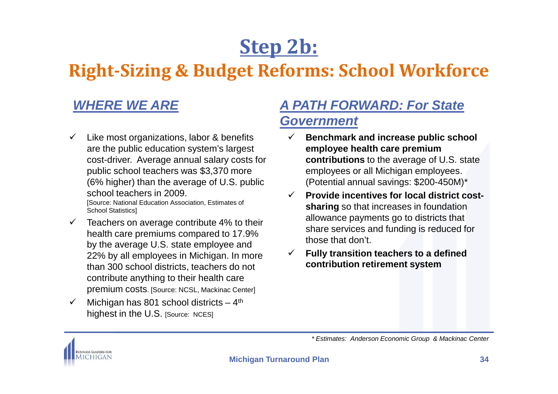# **Step 2b:**

### **Right-Sizing & Budget Reforms: School Workforce**

### **WHERE WE ARE**

- $\checkmark$  Like most organizations, labor & benefits are the public education system's largest cost-driver. Average annual salary costs for public school teachers was \$3,370 more (6% higher) than the average of U.S. public school teachers in 2009.[Source: National Education Association, Estimates of
- Fource: National Education Association, Estimates of Shari<br>
School Statistics]<br>
Michigan Muchigan Compared to 17.9%<br>
by the average U.S. state employee and<br>
22% by all employees in Michigan. In more<br>
those<br>
those<br>
those<br> Feachers on average contribute 4% to their<br>health care premiums compared to 17.9%<br>by the average U.S. state employee and<br>22% by all employees in Michigan. In more<br>than 300 school districts, teachers do not<br>contribute anyt SCHOOL REACHERS IN 2009.<br>
Soloo Statistics |<br>
School Statistics|<br>
School Statistics|<br>
School Statistics|<br>
School Statistics|<br>
School Statistics|<br>
Considered School Association, Estimates of<br>
School Statistics|<br>
Teachers o
- $\checkmark$

### **A PATH FORWARD: For State Government**

- $\checkmark$  **Benchmark and increase public school employee health care premium contributions** to the average of U.S. state employees or all Michigan employees. (Potential annual savings: \$200-450M)\*
- **Provide incentives for local district cost-**
- **Fully transition teachers to a defined contribution retirement system**

\* Estimates: Anderson Economic Group & Mackinac Center<br>Michigan Turnaround Plan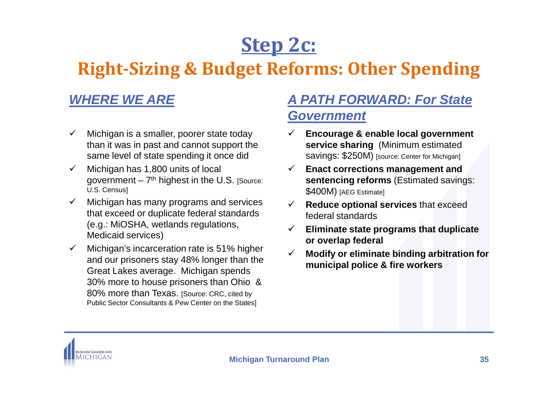# **Step 2c:**

### **Right-Sizing & Budget Reforms: Other Spending**

### **WHERE WE ARE**

- $\checkmark$  Michigan is a smaller, poorer state today than it was in past and cannot support the same level of state spending it once did
- $\checkmark$  Michigan has 1,800 units of local government  $-7<sup>th</sup>$  highest in the U.S. [Source: U.S. Census]
- Michigan has many programs and services  $\checkmark$  that exceed or duplicate federal standards (e.g.: MiOSHA, wetlands regulations, Medicaid services)
- $\checkmark$  Michigan's incarceration rate is 51% higher and our prisoners stay 48% longer than the Great Lakes average. Michigan spends 30% more to house prisoners than Ohio & 80% more than Texas. [Source: CRC, cited by Public Sector Consultants & Pew Center on the States]

### **A PATH FORWARD: For State Government**

- $\checkmark$  **Encourage & enable local government service sharing** (Minimum estimated savings: \$250M) [source: Center for Michigan]
- **Enact corrections management and sentencing reforms** (Estimated savings: \$400M) [AEG Estimate]
- $\checkmark$  **Reduce optional services** that exceed federal standards
- $\checkmark$  **Eliminate state programs that duplicate or overlap federal**
- $\checkmark$  **Modify or eliminate binding arbitration for municipal police & fire workers**

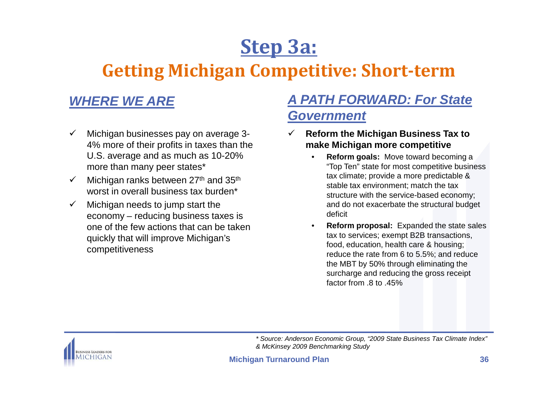# **Step 3a:**

### **Getting Michigan Competitive: Short-term**

### **WHERE WE ARE**

- $\checkmark$  Michigan businesses pay on average 3- 4% more of their profits in taxes than the U.S. average and as much as 10-20% more than many peer states\*
- $\checkmark$ Michigan ranks between 27<sup>th</sup> and 35<sup>th</sup> worst in overall business tax burden\*
- $\checkmark$  Michigan needs to jump start the economy – reducing business taxes is one of the few actions that can be taken quickly that will improve Michigan's competitiveness

### **A PATH FORWARD: For State Government**

- $\checkmark$  **Reform the Michigan Business Tax to make Michigan more competitive**
	- **Reform goals:** Move toward becoming a •"Top Ten" state for most competitive business tax climate; provide a more predictable & stable tax environment; match the tax structure with the service-based economy; and do not exacerbate the structural budget deficit
	- • **Reform proposal:** Expanded the state sales tax to services; exempt B2B transactions, food, education, health care & housing; reduce the rate from 6 to 5.5%; and reduce the MBT by 50% through eliminating the surcharge and reducing the gross receipt factor from .8 to .45%



\* Source: Anderson Economic Group, "2009 State Business Tax Climate Index" & McKinsey 2009 Benchmarking Study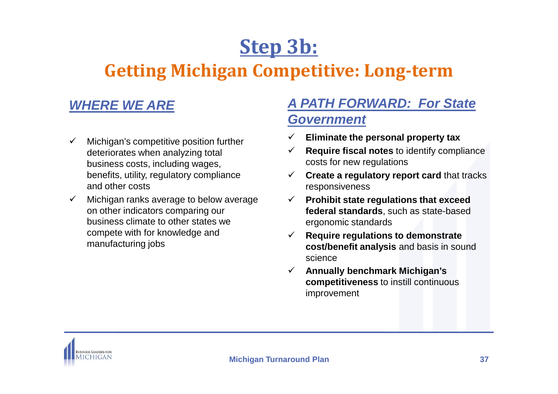# **Step 3b:**

### **Getting Michigan Competitive: Long-term**

### **WHERE WE ARE**

- $\checkmark$  Michigan's competitive position further deteriorates when analyzing total business costs, including wages, benefits, utility, regulatory compliance and other costs
- $\checkmark$  Michigan ranks average to below average on other indicators comparing our business climate to other states we compete with for knowledge and manufacturing jobs

### **A PATH FORWARD: For State Government**

- **Eliminate the personal property tax**
- $\checkmark$  **Require fiscal notes** to identify compliance costs for new regulations
- **Create a regulatory report card** that tracks responsiveness
- **Prohibit state regulations that exceed federal standards**, such as state-based ergonomic standards
- $\checkmark$  **Require regulations to demonstrate cost/benefit analysis** and basis in sound science
- **Annually benchmark Michigan's**   $\checkmark$ **competitiveness** to instill continuous improvement

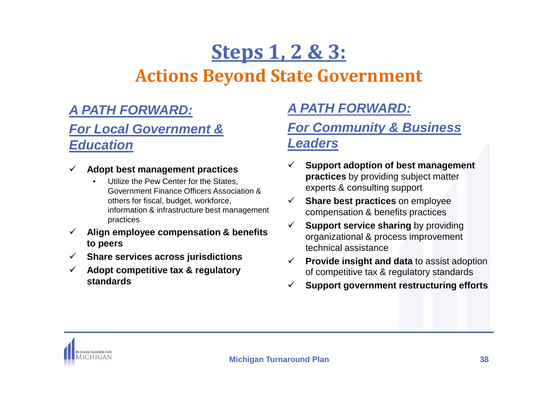# **Steps 1, 2 & 3:Actions Beyond State Government**

### **A PATH FORWARD:**

### **For Local Government & Education**

- $\checkmark$  **Adopt best management practices**
	- • Utilize the Pew Center for the States, Government Finance Officers Association & others for fiscal, budget, workforce, information & infrastructure best management practices
- $\checkmark$  **Align employee compensation & benefits to peers**
- **Share services across jurisdictions**
- $\checkmark$  **Adopt competitive tax & regulatory standards**

### **A PATH FORWARD:**

### **For Community & Business Leaders**

- $\checkmark$  **Support adoption of best management practices** by providing subject matter experts & consulting support
- **Share best practices** on employee compensation & benefits practices
- $\checkmark$ **Support service sharing by providing** organizational & process improvement technical assistance
- **Provide insight and data** to assist adoption of competitive tax & regulatory standards
- $\checkmark$ **Support government restructuring efforts**

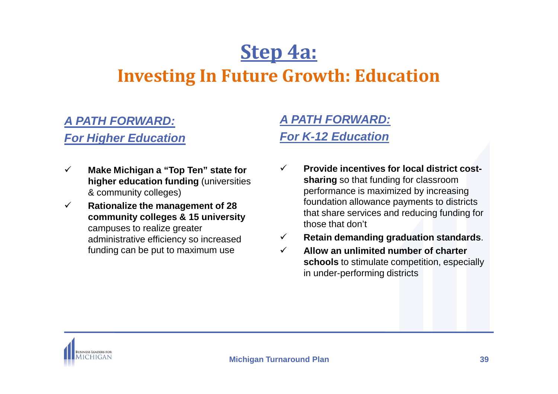# **Step 4a:Investing In Future Growth: Education**

### **A PATH FORWARD:**

#### **For Higher Education**

- $\checkmark$  **Make Michigan a "Top Ten" state for higher education funding** (universities & community colleges)
- $\checkmark$  **Rationalize the management of 28 community colleges & 15 university** campuses to realize greater administrative efficiency so increased funding can be put to maximum use

### **A PATH FORWARD:For K-12 Education**

- $\checkmark$  **Provide incentives for local district costsharing** so that funding for classroom performance is maximized by increasing foundation allowance payments to districts that share services and reducing funding for those that don't
- $\checkmark$ **Retain demanding graduation standards**.
- $\checkmark$  **Allow an unlimited number of charter schools** to stimulate competition, especially in under-performing districts

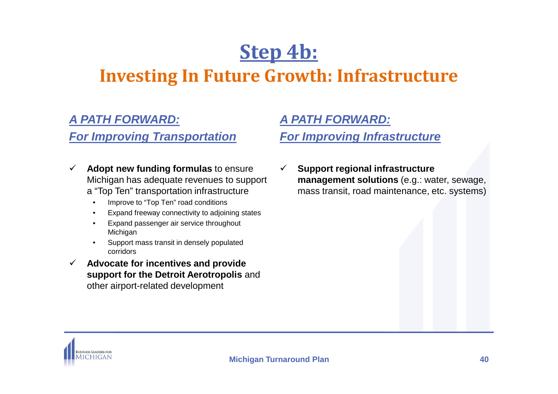# **Step 4b:Investing In Future Growth: Infrastructure**

### **A PATH FORWARD:**

#### **For Improving Transportation**

- $\checkmark$  **Adopt new funding formulas** to ensure Michigan has adequate revenues to support a "Top Ten" transportation infrastructure
	- •Improve to "Top Ten" road conditions
	- Expand freeway connectivity to adjoining states•
	- • Expand passenger air service throughout Michigan
	- Support mass transit in densely populated •corridors
- $\checkmark$  **Advocate for incentives and provide support for the Detroit Aerotropolis** and other airport-related development

### **A PATH FORWARD:**

### **For Improving Infrastructure**

 $\checkmark$  **Support regional infrastructure management solutions** (e.g.: water, sewage, mass transit, road maintenance, etc. systems)

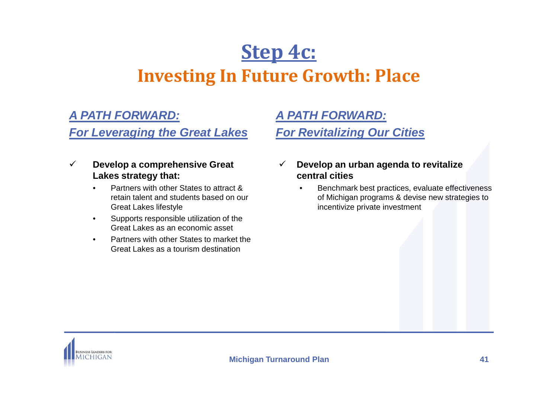# **Step 4c:Investing In Future Growth: Place**

### **A PATH FORWARD:**

#### **For Leveraging the Great Lakes**

#### $\checkmark$  **Develop a comprehensive Great Lakes strategy that:**

- • Partners with other States to attract & retain talent and students based on our Great Lakes lifestyle
- Supports responsible utilization of the •Great Lakes as an economic asset
- • Partners with other States to market the Great Lakes as a tourism destination

### **A PATH FORWARD:For Revitalizing Our Cities**

- $\checkmark$  **Develop an urban agenda to revitalize central cities**
	- Benchmark best practices, evaluate effectiveness •of Michigan programs & devise new strategies to incentivize private investment

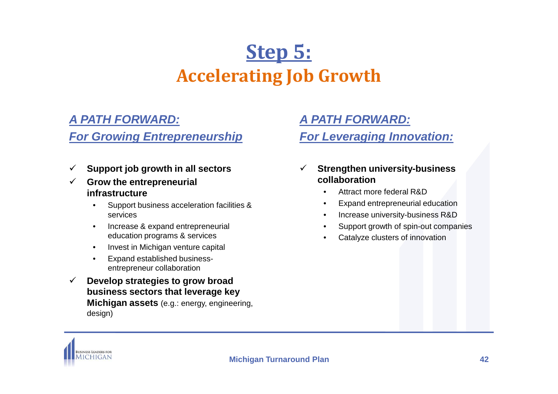# **Step 5:Accelerating Job Growth**

### **A PATH FORWARD:**

#### **For Growing Entrepreneurship**

- $\checkmark$ **Support job growth in all sectors**
- $\checkmark$  **Grow the entrepreneurial infrastructure**
	- Support business acceleration facilities & •services
	- Increase & expand entrepreneurial •education programs & services
	- •Invest in Michigan venture capital
	- • Expand established businessentrepreneur collaboration
- $\checkmark$  **Develop strategies to grow broad business sectors that leverage key Michigan assets** (e.g.: energy, engineering, design)

### **A PATH FORWARD:**

### **For Leveraging Innovation:**

- $\checkmark$  **Strengthen university-business collaboration**
	- Attract more federal R&D•
	- Expand entrepreneurial education•
	- Increase university-business R&D•
	- Support growth of spin-out companies•
	- •Catalyze clusters of innovation

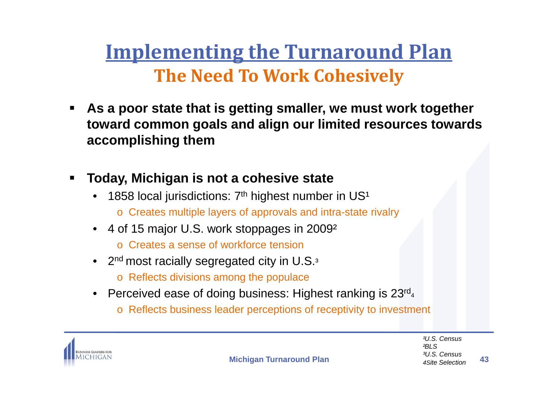# **Implementing the Turnaround PlanThe Need To Work Cohesively**

- $\blacksquare$  **As a poor state that is getting smaller, we must work together toward common goals and align our limited resources towards accomplishing them**
- $\blacksquare$  **Today, Michigan is not a cohesive state**
	- 1858 local jurisdictions:  $7<sup>th</sup>$  highest number in US<sup>1</sup> •
		- o Creates multiple layers of approvals and intra-state rivalry
	- 4 of 15 major U.S. work stoppages in 2009²
		- o Creates a sense of workforce tension
	- 2 $^{\sf nd}$  most racially segregated city in U.S. $^{\sf a}$ 
		- o Reflects divisions among the populace
	- $\bullet$  Perceived ease of doing business: Highest ranking is 23 $^{\mathsf{rd}_4}$ 
		- $\,\circ\,$  Reflects business leader perceptions of receptivity to investment



**Michigan Turnaround Plan**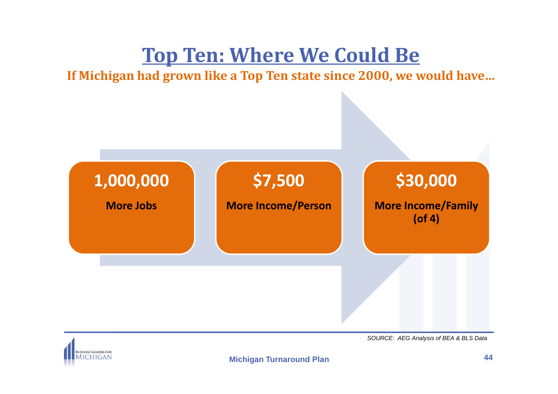# **Top Ten: Where We Could Be**

**If Michigan had grown like a Top Ten state since 2000, we would have…**



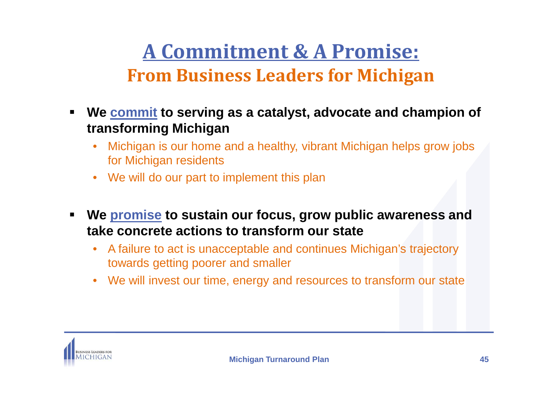# **A Commitment & A Promise:From Business Leaders for Michigan**

- $\blacksquare$  **We commit to serving as a catalyst, advocate and champion of transforming Michigan**
	- Michigan is our home and a healthy, vibrant Michigan helps grow jobs •for Michigan residents
	- $\bullet$ We will do our part to implement this plan
- $\blacksquare$  **We promise to sustain our focus, grow public awareness and take concrete actions to transform our state**
	- $\bullet$  A failure to act is unacceptable and continues Michigan's trajectory towards getting poorer and smaller
	- $\bullet$ We will invest our time, energy and resources to transform our state

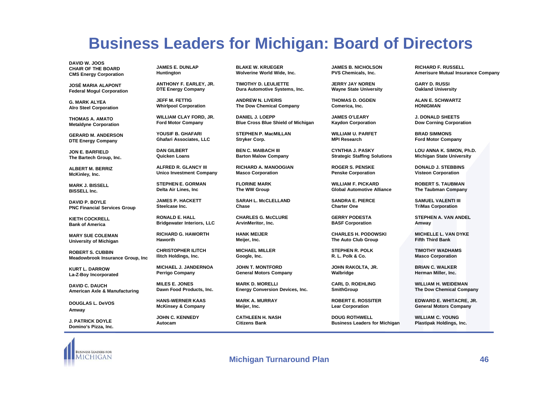### **Business Leaders for Michigan: Board of Directors**

**DAVID W. JOOS CHAIR OF THE BOARDCMS Energy Corporation**

**JOSÉ MARIA ALAPONT Federal Mogul Corporation**

**G. MARK ALYEAAlro Steel Corporation**

**THOMAS A. AMATO Metaldyne Corporation**

**GERARD M. ANDERSON DTE Energy Company**

**JON E. BARFIELD The Bartech Group, Inc.**

**ALBERT M. BERRIZ McKinley, Inc.**

**MARK J. BISSELLBISSELL Inc.**

**DAVID P. BOYLE PNC Financial Services Group**

**KIETH COCKRELL Bank of America**

**MARY SUE COLEMAN University of Michigan**

**ROBERT S. CUBBINMeadowbrook Insurance Group, Inc**

**KURT L. DARROWLa-Z-Boy Incorporated**

**DAVID C. DAUCH American Axle & Manufacturing**

**DOUGLAS L. DeVOSAmway**

**J. PATRICK DOYLEDomino's Pizza, Inc.** **JAMES E. DUNLAPHuntington**

**ANTHONY F. EARLEY, JR. DTE Energy Company**

**JEFF M. FETTIGWhirlpool Corporation**

**WILLIAM CLAY FORD, JR. Ford Motor Company**

**YOUSIF B. GHAFARIGhafari Associates, LLC**

**DAN GILBERTQuicken Loans**

**ALFRED R. GLANCY III Unico Investment Company** 

**STEPHEN E. GORMANDelta Air Lines, Inc**

**JAMES P. HACKETTSteelcase Inc.**

**RONALD E. HALL Bridgewater Interiors, LLC**

**RICHARD G. HAWORTHHaworth**

**CHRISTOPHER ILITCH Ilitch Holdings, Inc.**

**MICHAEL J. JANDERNOAPerrigo Company**

**MILES E. JONESDawn Food Products, Inc.**

**HANS-WERNER KAAS McKinsey & Company**

**JOHN C. KENNEDYAutocam**

**BLAKE W. KRUEGERWolverine World Wide, Inc.**

**TIMOTHY D. LEULIETTE Dura Automotive Systems, Inc.** 

**ANDREW N. LIVERISThe Dow Chemical Company**

**DANIEL J. LOEPP Blue Cross Blue Shield of Michigan**

**STEPHEN P. MacMILLANStryker Corp.**

**BEN C. MAIBACH III Barton Malow Company**

**RICHARD A. MANOOGIAN Masco Corporation**

**FLORINE MARK The WW Group**

**SARAH L. McCLELLAND Chase**

**CHARLES G. McCLURE ArvinMeritor, Inc.**

**HANK MEIJERMeijer, Inc.**

**MICHAEL MILLERGoogle, Inc.**

**JOHN T. MONTFORDGeneral Motors Company**

**MARK D. MORELLI Energy Conversion Devices, Inc.**

**MARK A. MURRAYMeijer, Inc.**

**CATHLEEN H. NASHCitizens Bank**

**JAMES B. NICHOLSON PVS Chemicals, Inc.**

**JERRY JAY NORENWayne State University**

**THOMAS D. OGDENComerica, Inc.**

**JAMES O'LEARY Kaydon Corporation**

**WILLIAM U. PARFETMPI Research**

**CYNTHIA J. PASKYStrategic Staffing Solutions**

**ROGER S. PENSKEPenske Corporation**

**WILLIAM F. PICKARDGlobal Automotive Alliance**

**SANDRA E. PIERCECharter One**

**GERRY PODESTABASF Corporation**

**CHARLES H. PODOWSKIThe Auto Club Group**

**STEPHEN R. POLKR. L. Polk & Co.**

**JOHN RAKOLTA, JR. Walbridge**

**CARL D. ROEHLING SmithGroup**

**ROBERT E. ROSSITERLear Corporation**

**DOUG ROTHWELLBusiness Leaders for Michigan** **RICHARD F. RUSSELL Amerisure Mutual Insurance Company**

**GARY D. RUSSIOakland University**

**ALAN E. SCHWARTZHONIGMAN**

**J. DONALD SHEETSDow Corning Corporation**

**BRAD SIMMONSFord Motor Company**

**LOU ANNA K. SIMON, Ph.D. Michigan State University**

**DONALD J. STEBBINS Visteon Corporation**

**ROBERT S. TAUBMANThe Taubman Company**

**SAMUEL VALENTI III TriMas Corporation** 

**STEPHEN A. VAN ANDELAmway**

**MICHELLE L. VAN DYKEFifth Third Bank**

**TIMOTHY WADHAMS Masco Corporation**

**BRIAN C. WALKERHerman Miller, Inc.**

**WILLIAM H. WEIDEMANThe Dow Chemical Company**

**EDWARD E. WHITACRE, JR.General Motors Company**

**WILLIAM C. YOUNG Plastipak Holdings, Inc.**